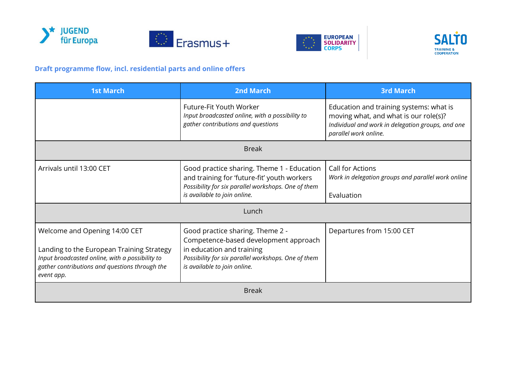







## **Draft programme flow, incl. residential parts and online offers**

| <b>1st March</b>                                                                                                                                                                              | <b>2nd March</b>                                                                                                                                                                              | <b>3rd March</b>                                                                                                                                               |  |
|-----------------------------------------------------------------------------------------------------------------------------------------------------------------------------------------------|-----------------------------------------------------------------------------------------------------------------------------------------------------------------------------------------------|----------------------------------------------------------------------------------------------------------------------------------------------------------------|--|
|                                                                                                                                                                                               | Future-Fit Youth Worker<br>Input broadcasted online, with a possibility to<br>gather contributions and questions                                                                              | Education and training systems: what is<br>moving what, and what is our role(s)?<br>Individual and work in delegation groups, and one<br>parallel work online. |  |
| <b>Break</b>                                                                                                                                                                                  |                                                                                                                                                                                               |                                                                                                                                                                |  |
| Arrivals until 13:00 CET                                                                                                                                                                      | Good practice sharing. Theme 1 - Education<br>and training for 'future-fit' youth workers<br>Possibility for six parallel workshops. One of them<br>is available to join online.              | Call for Actions<br>Work in delegation groups and parallel work online<br>Evaluation                                                                           |  |
| Lunch                                                                                                                                                                                         |                                                                                                                                                                                               |                                                                                                                                                                |  |
| Welcome and Opening 14:00 CET<br>Landing to the European Training Strategy<br>Input broadcasted online, with a possibility to<br>gather contributions and questions through the<br>event app. | Good practice sharing. Theme 2 -<br>Competence-based development approach<br>in education and training<br>Possibility for six parallel workshops. One of them<br>is available to join online. | Departures from 15:00 CET                                                                                                                                      |  |
| <b>Break</b>                                                                                                                                                                                  |                                                                                                                                                                                               |                                                                                                                                                                |  |